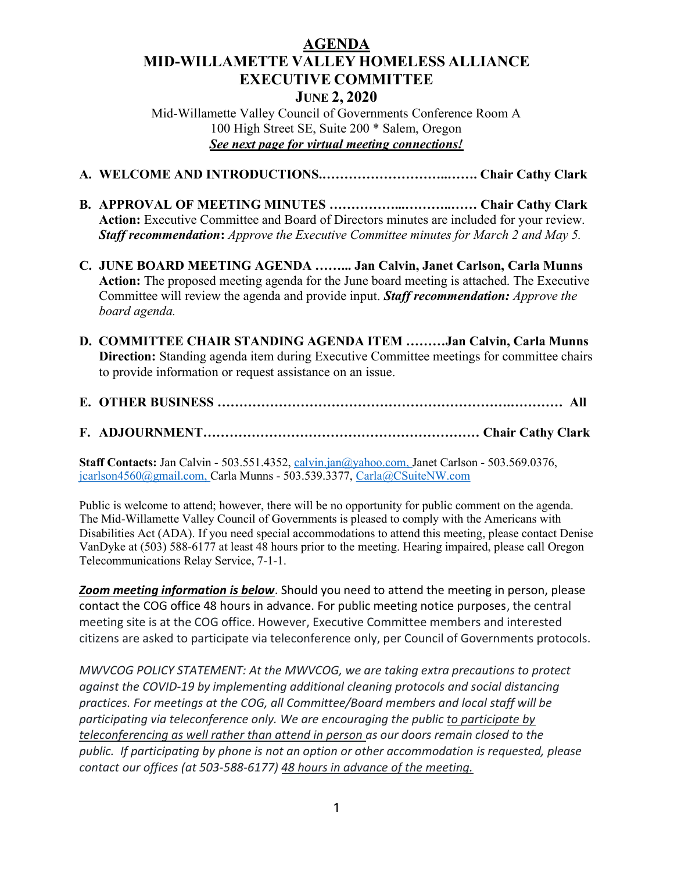## AGENDA MID-WILLAMETTE VALLEY HOMELESS ALLIANCE EXECUTIVE COMMITTEE JUNE 2, 2020

Mid-Willamette Valley Council of Governments Conference Room A 100 High Street SE, Suite 200 \* Salem, Oregon See next page for virtual meeting connections!

- A. WELCOME AND INTRODUCTIONS.………………………..……. Chair Cathy Clark
- B. APPROVAL OF MEETING MINUTES ……………...………..…… Chair Cathy Clark Action: Executive Committee and Board of Directors minutes are included for your review. Staff recommendation: Approve the Executive Committee minutes for March 2 and May 5.
- C. JUNE BOARD MEETING AGENDA ……... Jan Calvin, Janet Carlson, Carla Munns Action: The proposed meeting agenda for the June board meeting is attached. The Executive Committee will review the agenda and provide input. Staff recommendation: Approve the board agenda.
- D. COMMITTEE CHAIR STANDING AGENDA ITEM ………Jan Calvin, Carla Munns Direction: Standing agenda item during Executive Committee meetings for committee chairs to provide information or request assistance on an issue.
- E. OTHER BUSINESS ………………………………………………………….………… All
- F. ADJOURNMENT……………………………………………………… Chair Cathy Clark

Staff Contacts: Jan Calvin - 503.551.4352, calvin.jan@yahoo.com, Janet Carlson - 503.569.0376, jcarlson4560@gmail.com, Carla Munns - 503.539.3377, Carla@CSuiteNW.com

Public is welcome to attend; however, there will be no opportunity for public comment on the agenda. The Mid-Willamette Valley Council of Governments is pleased to comply with the Americans with Disabilities Act (ADA). If you need special accommodations to attend this meeting, please contact Denise VanDyke at (503) 588-6177 at least 48 hours prior to the meeting. Hearing impaired, please call Oregon Telecommunications Relay Service, 7-1-1.

Zoom meeting information is below. Should you need to attend the meeting in person, please contact the COG office 48 hours in advance. For public meeting notice purposes, the central meeting site is at the COG office. However, Executive Committee members and interested citizens are asked to participate via teleconference only, per Council of Governments protocols.

MWVCOG POLICY STATEMENT: At the MWVCOG, we are taking extra precautions to protect against the COVID-19 by implementing additional cleaning protocols and social distancing practices. For meetings at the COG, all Committee/Board members and local staff will be participating via teleconference only. We are encouraging the public to participate by teleconferencing as well rather than attend in person as our doors remain closed to the public. If participating by phone is not an option or other accommodation is requested, please contact our offices (at 503-588-6177) 48 hours in advance of the meeting.